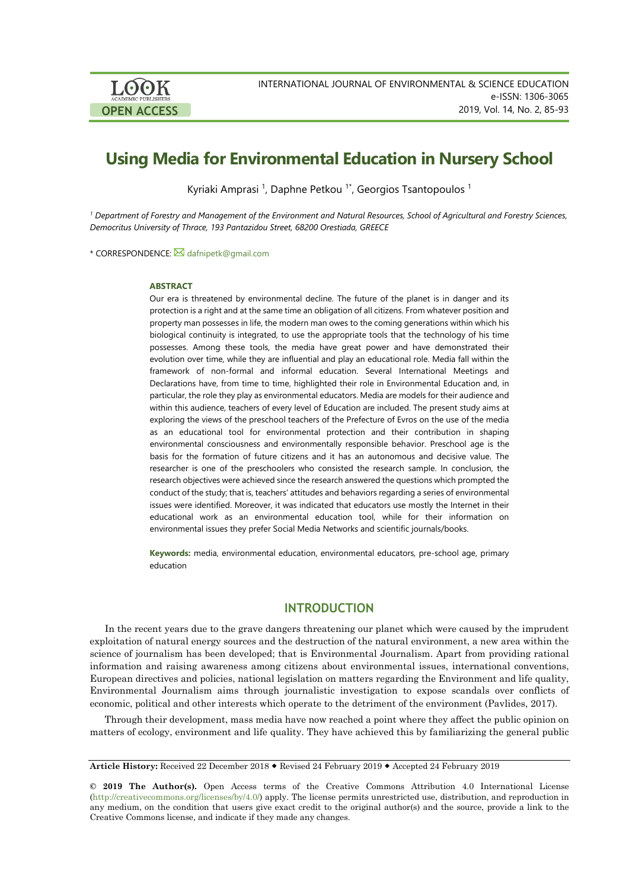

# **Using Media for Environmental Education in Nursery School**

Kyriaki Amprasi <sup>1</sup>, Daphne Petkou <sup>1\*</sup>, Georgios Tsantopoulos <sup>1</sup>

<sup>1</sup> Department of Forestry and Management of the Environment and Natural Resources, School of Agricultural and Forestry Sciences, *Democritus University of Thrace, 193 Pantazidou Street, 68200 Orestiada, GREECE*

\* CORRESPONDENCE: [dafnipetk@gmail.com](mailto:dafnipetk@gmail.com)

#### **ABSTRACT**

Our era is threatened by environmental decline. The future of the planet is in danger and its protection is a right and at the same time an obligation of all citizens. From whatever position and property man possesses in life, the modern man owes to the coming generations within which his biological continuity is integrated, to use the appropriate tools that the technology of his time possesses. Among these tools, the media have great power and have demonstrated their evolution over time, while they are influential and play an educational role. Media fall within the framework of non-formal and informal education. Several International Meetings and Declarations have, from time to time, highlighted their role in Environmental Education and, in particular, the role they play as environmental educators. Media are models for their audience and within this audience, teachers of every level of Education are included. The present study aims at exploring the views of the preschool teachers of the Prefecture of Evros on the use of the media as an educational tool for environmental protection and their contribution in shaping environmental consciousness and environmentally responsible behavior. Preschool age is the basis for the formation of future citizens and it has an autonomous and decisive value. The researcher is one of the preschoolers who consisted the research sample. In conclusion, the research objectives were achieved since the research answered the questions which prompted the conduct of the study; that is, teachers' attitudes and behaviors regarding a series of environmental issues were identified. Moreover, it was indicated that educators use mostly the Internet in their educational work as an environmental education tool, while for their information on environmental issues they prefer Social Media Networks and scientific journals/books.

**Keywords:** media, environmental education, environmental educators, pre-school age, primary education

### **INTRODUCTION**

In the recent years due to the grave dangers threatening our planet which were caused by the imprudent exploitation of natural energy sources and the destruction of the natural environment, a new area within the science of journalism has been developed; that is Environmental Journalism. Apart from providing rational information and raising awareness among citizens about environmental issues, international conventions, European directives and policies, national legislation on matters regarding the Environment and life quality, Environmental Journalism aims through journalistic investigation to expose scandals over conflicts of economic, political and other interests which operate to the detriment of the environment (Pavlides, 2017).

Through their development, mass media have now reached a point where they affect the public opinion on matters of ecology, environment and life quality. They have achieved this by familiarizing the general public

**Article History:** Received 22 December 2018 Revised 24 February 2019 Accepted 24 February 2019

**© 2019 The Author(s).** Open Access terms of the Creative Commons Attribution 4.0 International License [\(http://creativecommons.org/licenses/by/4.0/\)](http://creativecommons.org/licenses/by/4.0/) apply. The license permits unrestricted use, distribution, and reproduction in any medium, on the condition that users give exact credit to the original author(s) and the source, provide a link to the Creative Commons license, and indicate if they made any changes.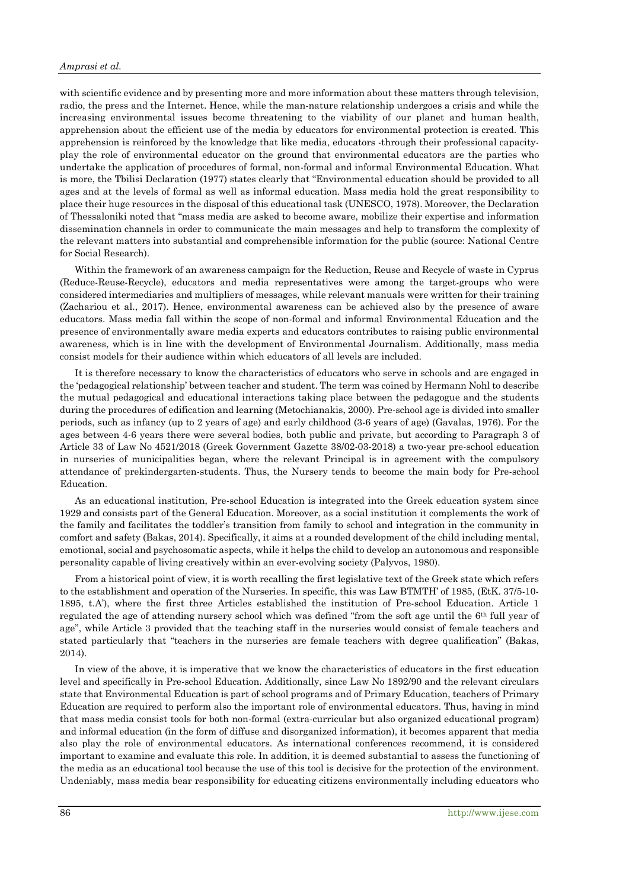with scientific evidence and by presenting more and more information about these matters through television, radio, the press and the Internet. Hence, while the man-nature relationship undergoes a crisis and while the increasing environmental issues become threatening to the viability of our planet and human health, apprehension about the efficient use of the media by educators for environmental protection is created. This apprehension is reinforced by the knowledge that like media, educators -through their professional capacityplay the role of environmental educator on the ground that environmental educators are the parties who undertake the application of procedures of formal, non-formal and informal Environmental Education. What is more, the Tbilisi Declaration (1977) states clearly that "Environmental education should be provided to all ages and at the levels of formal as well as informal education. Mass media hold the great responsibility to place their huge resources in the disposal of this educational task (UNESCO, 1978). Moreover, the Declaration of Thessaloniki noted that "mass media are asked to become aware, mobilize their expertise and information dissemination channels in order to communicate the main messages and help to transform the complexity of the relevant matters into substantial and comprehensible information for the public (source: National Centre for Social Research).

Within the framework of an awareness campaign for the Reduction, Reuse and Recycle of waste in Cyprus (Reduce-Reuse-Recycle), educators and media representatives were among the target-groups who were considered intermediaries and multipliers of messages, while relevant manuals were written for their training (Zachariou et al., 2017). Hence, environmental awareness can be achieved also by the presence of aware educators. Mass media fall within the scope of non-formal and informal Environmental Education and the presence of environmentally aware media experts and educators contributes to raising public environmental awareness, which is in line with the development of Environmental Journalism. Additionally, mass media consist models for their audience within which educators of all levels are included.

It is therefore necessary to know the characteristics of educators who serve in schools and are engaged in the 'pedagogical relationship' between teacher and student. The term was coined by Hermann Nohl to describe the mutual pedagogical and educational interactions taking place between the pedagogue and the students during the procedures of edification and learning (Metochianakis, 2000). Pre-school age is divided into smaller periods, such as infancy (up to 2 years of age) and early childhood (3-6 years of age) (Gavalas, 1976). For the ages between 4-6 years there were several bodies, both public and private, but according to Paragraph 3 of Article 33 of Law No 4521/2018 (Greek Government Gazette 38/02-03-2018) a two-year pre-school education in nurseries of municipalities began, where the relevant Principal is in agreement with the compulsory attendance of prekindergarten-students. Thus, the Nursery tends to become the main body for Pre-school Education.

As an educational institution, Pre-school Education is integrated into the Greek education system since 1929 and consists part of the General Education. Moreover, as a social institution it complements the work of the family and facilitates the toddler's transition from family to school and integration in the community in comfort and safety (Bakas, 2014). Specifically, it aims at a rounded development of the child including mental, emotional, social and psychosomatic aspects, while it helps the child to develop an autonomous and responsible personality capable of living creatively within an ever-evolving society (Palyvos, 1980).

From a historical point of view, it is worth recalling the first legislative text of the Greek state which refers to the establishment and operation of the Nurseries. In specific, this was Law BTMTH' of 1985, (EtK. 37/5-10- 1895, t.A'), where the first three Articles established the institution of Pre-school Education. Article 1 regulated the age of attending nursery school which was defined "from the soft age until the 6th full year of age", while Article 3 provided that the teaching staff in the nurseries would consist of female teachers and stated particularly that "teachers in the nurseries are female teachers with degree qualification" (Bakas, 2014).

In view of the above, it is imperative that we know the characteristics of educators in the first education level and specifically in Pre-school Education. Additionally, since Law No 1892/90 and the relevant circulars state that Environmental Education is part of school programs and of Primary Education, teachers of Primary Education are required to perform also the important role of environmental educators. Thus, having in mind that mass media consist tools for both non-formal (extra-curricular but also organized educational program) and informal education (in the form of diffuse and disorganized information), it becomes apparent that media also play the role of environmental educators. As international conferences recommend, it is considered important to examine and evaluate this role. In addition, it is deemed substantial to assess the functioning of the media as an educational tool because the use of this tool is decisive for the protection of the environment. Undeniably, mass media bear responsibility for educating citizens environmentally including educators who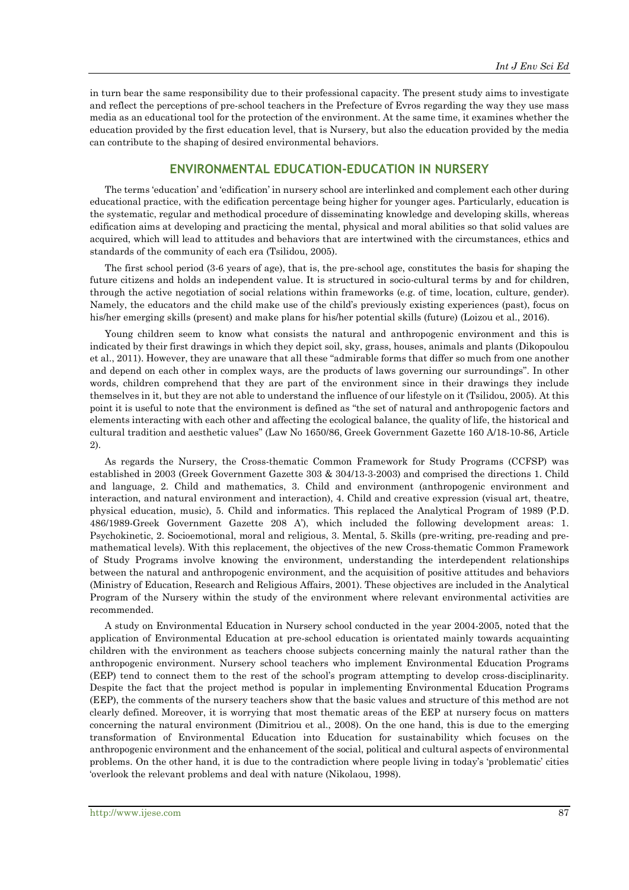in turn bear the same responsibility due to their professional capacity. The present study aims to investigate and reflect the perceptions of pre-school teachers in the Prefecture of Evros regarding the way they use mass media as an educational tool for the protection of the environment. At the same time, it examines whether the education provided by the first education level, that is Nursery, but also the education provided by the media can contribute to the shaping of desired environmental behaviors.

## **ENVIRONMENTAL EDUCATION-EDUCATION IN NURSERY**

The terms 'education' and 'edification' in nursery school are interlinked and complement each other during educational practice, with the edification percentage being higher for younger ages. Particularly, education is the systematic, regular and methodical procedure of disseminating knowledge and developing skills, whereas edification aims at developing and practicing the mental, physical and moral abilities so that solid values are acquired, which will lead to attitudes and behaviors that are intertwined with the circumstances, ethics and standards of the community of each era (Tsilidou, 2005).

The first school period (3-6 years of age), that is, the pre-school age, constitutes the basis for shaping the future citizens and holds an independent value. It is structured in socio-cultural terms by and for children, through the active negotiation of social relations within frameworks (e.g. of time, location, culture, gender). Namely, the educators and the child make use of the child's previously existing experiences (past), focus on his/her emerging skills (present) and make plans for his/her potential skills (future) (Loizou et al., 2016).

Young children seem to know what consists the natural and anthropogenic environment and this is indicated by their first drawings in which they depict soil, sky, grass, houses, animals and plants (Dikopoulou et al., 2011). However, they are unaware that all these "admirable forms that differ so much from one another and depend on each other in complex ways, are the products of laws governing our surroundings". In other words, children comprehend that they are part of the environment since in their drawings they include themselves in it, but they are not able to understand the influence of our lifestyle on it (Tsilidou, 2005). At this point it is useful to note that the environment is defined as "the set of natural and anthropogenic factors and elements interacting with each other and affecting the ecological balance, the quality of life, the historical and cultural tradition and aesthetic values" (Law No 1650/86, Greek Government Gazette 160 A/18-10-86, Article 2).

As regards the Nursery, the Cross-thematic Common Framework for Study Programs (CCFSP) was established in 2003 (Greek Government Gazette 303 & 304/13-3-2003) and comprised the directions 1. Child and language, 2. Child and mathematics, 3. Child and environment (anthropogenic environment and interaction, and natural environment and interaction), 4. Child and creative expression (visual art, theatre, physical education, music), 5. Child and informatics. This replaced the Analytical Program of 1989 (P.D. 486/1989-Greek Government Gazette 208 A'), which included the following development areas: 1. Psychokinetic, 2. Socioemotional, moral and religious, 3. Mental, 5. Skills (pre-writing, pre-reading and premathematical levels). With this replacement, the objectives of the new Cross-thematic Common Framework of Study Programs involve knowing the environment, understanding the interdependent relationships between the natural and anthropogenic environment, and the acquisition of positive attitudes and behaviors (Ministry of Education, Research and Religious Affairs, 2001). These objectives are included in the Analytical Program of the Nursery within the study of the environment where relevant environmental activities are recommended.

A study on Environmental Education in Nursery school conducted in the year 2004-2005, noted that the application of Environmental Education at pre-school education is orientated mainly towards acquainting children with the environment as teachers choose subjects concerning mainly the natural rather than the anthropogenic environment. Nursery school teachers who implement Environmental Education Programs (EEP) tend to connect them to the rest of the school's program attempting to develop cross-disciplinarity. Despite the fact that the project method is popular in implementing Environmental Education Programs (EEP), the comments of the nursery teachers show that the basic values and structure of this method are not clearly defined. Moreover, it is worrying that most thematic areas of the EEP at nursery focus on matters concerning the natural environment (Dimitriou et al., 2008). On the one hand, this is due to the emerging transformation of Environmental Education into Education for sustainability which focuses on the anthropogenic environment and the enhancement of the social, political and cultural aspects of environmental problems. On the other hand, it is due to the contradiction where people living in today's 'problematic' cities 'overlook the relevant problems and deal with nature (Nikolaou, 1998).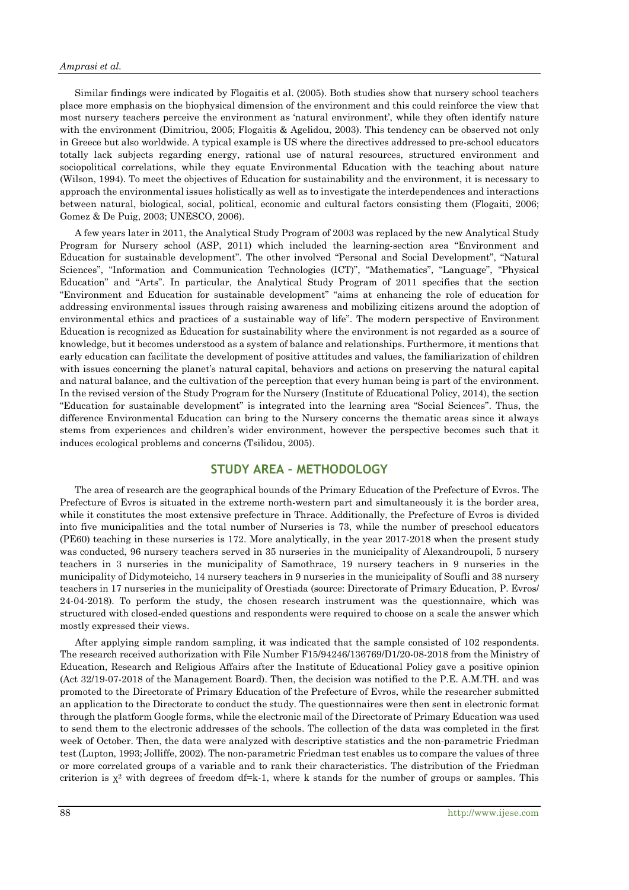#### *Amprasi et al.*

Similar findings were indicated by Flogaitis et al. (2005). Both studies show that nursery school teachers place more emphasis on the biophysical dimension of the environment and this could reinforce the view that most nursery teachers perceive the environment as 'natural environment', while they often identify nature with the environment (Dimitriou, 2005; Flogaitis & Agelidou, 2003). This tendency can be observed not only in Greece but also worldwide. Α typical example is US where the directives addressed to pre-school educators totally lack subjects regarding energy, rational use of natural resources, structured environment and sociopolitical correlations, while they equate Environmental Education with the teaching about nature (Wilson, 1994). To meet the objectives of Education for sustainability and the environment, it is necessary to approach the environmental issues holistically as well as to investigate the interdependences and interactions between natural, biological, social, political, economic and cultural factors consisting them (Flogaiti, 2006; Gomez & De Puig, 2003; UNESCO, 2006).

A few years later in 2011, the Analytical Study Program of 2003 was replaced by the new Analytical Study Program for Nursery school (ASP, 2011) which included the learning-section area "Environment and Education for sustainable development". The other involved "Personal and Social Development", "Natural Sciences", "Information and Communication Technologies (ICT)", "Mathematics", "Language", "Physical Education" and "Arts". In particular, the Analytical Study Program of 2011 specifies that the section "Environment and Education for sustainable development" "aims at enhancing the role of education for addressing environmental issues through raising awareness and mobilizing citizens around the adoption of environmental ethics and practices of a sustainable way of life". The modern perspective of Environment Education is recognized as Education for sustainability where the environment is not regarded as a source of knowledge, but it becomes understood as a system of balance and relationships. Furthermore, it mentions that early education can facilitate the development of positive attitudes and values, the familiarization of children with issues concerning the planet's natural capital, behaviors and actions on preserving the natural capital and natural balance, and the cultivation of the perception that every human being is part of the environment. In the revised version of the Study Program for the Nursery (Institute of Educational Policy, 2014), the section "Education for sustainable development" is integrated into the learning area "Social Sciences". Thus, the difference Environmental Education can bring to the Nursery concerns the thematic areas since it always stems from experiences and children's wider environment, however the perspective becomes such that it induces ecological problems and concerns (Tsilidou, 2005).

## **STUDY AREA – METHODOLOGY**

The area of research are the geographical bounds of the Primary Education of the Prefecture of Evros. The Prefecture of Evros is situated in the extreme north-western part and simultaneously it is the border area, while it constitutes the most extensive prefecture in Thrace. Additionally, the Prefecture of Evros is divided into five municipalities and the total number of Nurseries is 73, while the number of preschool educators (PE60) teaching in these nurseries is 172. More analytically, in the year 2017-2018 when the present study was conducted, 96 nursery teachers served in 35 nurseries in the municipality of Alexandroupoli, 5 nursery teachers in 3 nurseries in the municipality of Samothrace, 19 nursery teachers in 9 nurseries in the municipality of Didymoteicho, 14 nursery teachers in 9 nurseries in the municipality of Soufli and 38 nursery teachers in 17 nurseries in the municipality of Orestiada (source: Directorate of Primary Education, P. Evros/ 24-04-2018). To perform the study, the chosen research instrument was the questionnaire, which was structured with closed-ended questions and respondents were required to choose on a scale the answer which mostly expressed their views.

After applying simple random sampling, it was indicated that the sample consisted of 102 respondents. The research received authorization with File Number F15/94246/136769/D1/20-08-2018 from the Ministry of Education, Research and Religious Affairs after the Institute of Educational Policy gave a positive opinion (Act 32/19-07-2018 of the Management Board). Then, the decision was notified to the P.E. A.M.TH. and was promoted to the Directorate of Primary Education of the Prefecture of Evros, while the researcher submitted an application to the Directorate to conduct the study. The questionnaires were then sent in electronic format through the platform Google forms, while the electronic mail of the Directorate of Primary Education was used to send them to the electronic addresses of the schools. The collection of the data was completed in the first week of October. Then, the data were analyzed with descriptive statistics and the non-parametric Friedman test (Lupton, 1993; Jolliffe, 2002). The non-parametric Friedman test enables us to compare the values of three or more correlated groups of a variable and to rank their characteristics. The distribution of the Friedman criterion is  $\chi^2$  with degrees of freedom df=k-1, where k stands for the number of groups or samples. This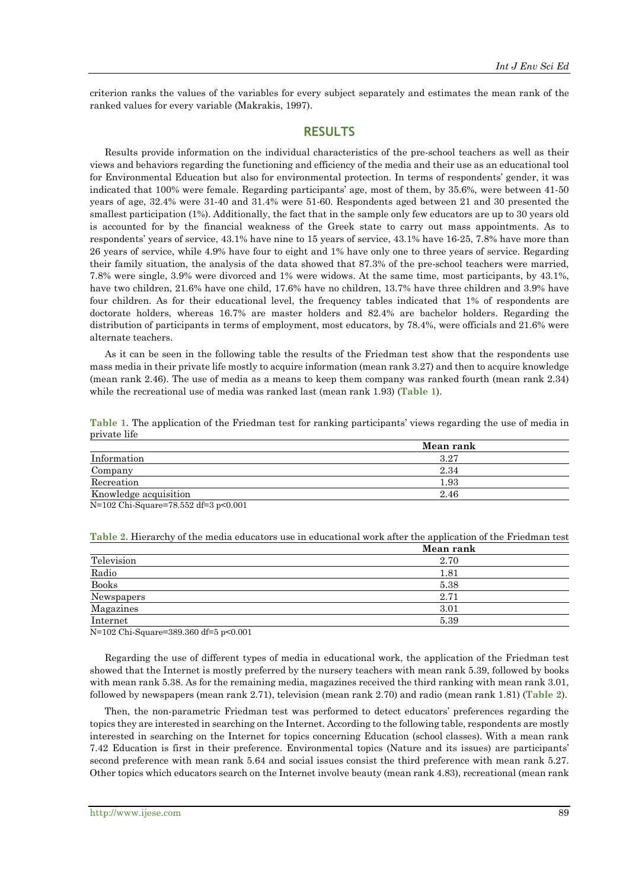criterion ranks the values of the variables for every subject separately and estimates the mean rank of the ranked values for every variable (Makrakis, 1997).

#### **RESULTS**

Results provide information on the individual characteristics of the pre-school teachers as well as their views and behaviors regarding the functioning and efficiency of the media and their use as an educational tool for Environmental Education but also for environmental protection. In terms of respondents' gender, it was indicated that 100% were female. Regarding participants' age, most of them, by 35.6%, were between 41-50 years of age, 32.4% were 31-40 and 31.4% were 51-60. Respondents aged between 21 and 30 presented the smallest participation (1%). Additionally, the fact that in the sample only few educators are up to 30 years old is accounted for by the financial weakness of the Greek state to carry out mass appointments. As to respondents' years of service, 43.1% have nine to 15 years of service, 43.1% have 16-25, 7.8% have more than 26 years of service, while 4.9% have four to eight and 1% have only one to three years of service. Regarding their family situation, the analysis of the data showed that 87.3% of the pre-school teachers were married, 7.8% were single, 3.9% were divorced and 1% were widows. At the same time, most participants, by 43.1%, have two children, 21.6% have one child, 17.6% have no children, 13.7% have three children and 3.9% have four children. As for their educational level, the frequency tables indicated that 1% of respondents are doctorate holders, whereas 16.7% are master holders and 82.4% are bachelor holders. Regarding the distribution of participants in terms of employment, most educators, by 78.4%, were officials and 21.6% were alternate teachers.

As it can be seen in the following table the results of the Friedman test show that the respondents use mass media in their private life mostly to acquire information (mean rank 3.27) and then to acquire knowledge (mean rank 2.46). The use of media as a means to keep them company was ranked fourth (mean rank 2.34) while the recreational use of media was ranked last (mean rank 1.93) (**Table 1**).

| private life          |           |
|-----------------------|-----------|
|                       | Mean rank |
| Information           | 3.27      |
| Company               | 2.34      |
| Recreation            | $1.93\,$  |
| Knowledge acquisition | 2.46      |

**Table 1.** The application of the Friedman test for ranking participants' views regarding the use of media in private life

N=102 Chi-Square=78.552 df=3 p<0.001

|              | Mean rank |
|--------------|-----------|
| Television   | 2.70      |
| Radio        | 1.81      |
| <b>Books</b> | 5.38      |
| Newspapers   | 2.71      |
| Magazines    | 3.01      |
| Internet     | 5.39      |

**Table 2.** Hierarchy of the media educators use in educational work after the application of the Friedman test

N=102 Chi-Square=389.360 df=5 p<0.001

Regarding the use of different types of media in educational work, the application of the Friedman test showed that the Internet is mostly preferred by the nursery teachers with mean rank 5.39, followed by books with mean rank 5.38. As for the remaining media, magazines received the third ranking with mean rank 3.01, followed by newspapers (mean rank 2.71), television (mean rank 2.70) and radio (mean rank 1.81) (**Table 2**).

Then, the non-parametric Friedman test was performed to detect educators' preferences regarding the topics they are interested in searching on the Internet. According to the following table, respondents are mostly interested in searching on the Internet for topics concerning Education (school classes). With a mean rank 7.42 Education is first in their preference. Environmental topics (Nature and its issues) are participants' second preference with mean rank 5.64 and social issues consist the third preference with mean rank 5.27. Other topics which educators search on the Internet involve beauty (mean rank 4.83), recreational (mean rank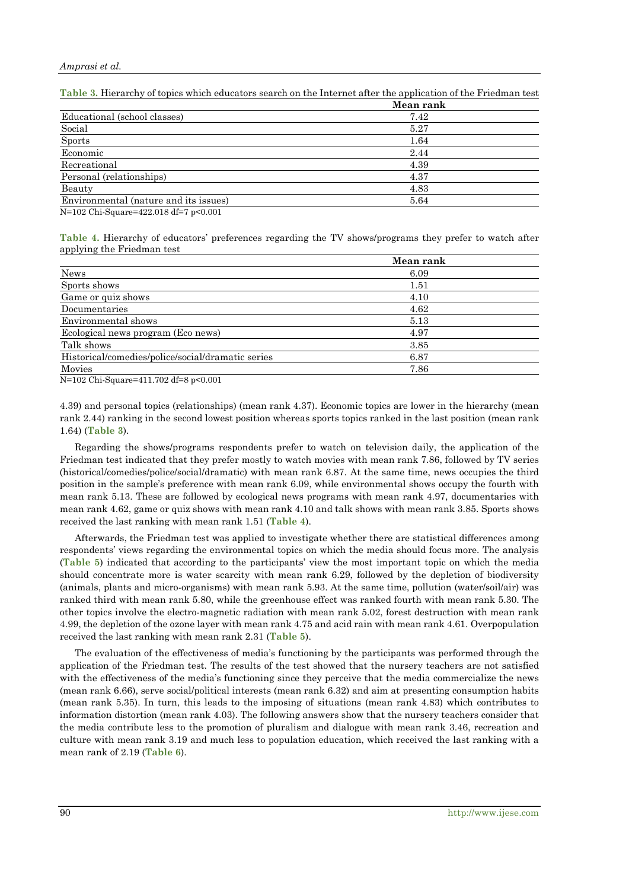|                                       | Mean rank |
|---------------------------------------|-----------|
| Educational (school classes)          | 7.42      |
| Social                                | 5.27      |
| <b>Sports</b>                         | 1.64      |
| Economic                              | 2.44      |
| Recreational                          | 4.39      |
| Personal (relationships)              | 4.37      |
| Beauty                                | 4.83      |
| Environmental (nature and its issues) | 5.64      |
| $15 - 400$ $01 + 0$ $1000010 = 0001$  |           |

**Table 3.** Hierarchy of topics which educators search on the Internet after the application of the Friedman test

N=102 Chi-Square=422.018 df=7 p<0.001

**Table 4.** Hierarchy of educators' preferences regarding the TV shows/programs they prefer to watch after applying the Friedman test

|                                                   | Mean rank |  |
|---------------------------------------------------|-----------|--|
| <b>News</b>                                       | 6.09      |  |
| Sports shows                                      | 1.51      |  |
| Game or quiz shows                                | 4.10      |  |
| Documentaries                                     | 4.62      |  |
| Environmental shows                               | 5.13      |  |
| Ecological news program (Eco news)                | 4.97      |  |
| Talk shows                                        | 3.85      |  |
| Historical/comedies/police/social/dramatic series | 6.87      |  |
| Movies                                            | 7.86      |  |
|                                                   |           |  |

N=102 Chi-Square=411.702 df=8 p<0.001

4.39) and personal topics (relationships) (mean rank 4.37). Economic topics are lower in the hierarchy (mean rank 2.44) ranking in the second lowest position whereas sports topics ranked in the last position (mean rank 1.64) (**Table 3**).

Regarding the shows/programs respondents prefer to watch on television daily, the application of the Friedman test indicated that they prefer mostly to watch movies with mean rank 7.86, followed by TV series (historical/comedies/police/social/dramatic) with mean rank 6.87. At the same time, news occupies the third position in the sample's preference with mean rank 6.09, while environmental shows occupy the fourth with mean rank 5.13. These are followed by ecological news programs with mean rank 4.97, documentaries with mean rank 4.62, game or quiz shows with mean rank 4.10 and talk shows with mean rank 3.85. Sports shows received the last ranking with mean rank 1.51 (**Table 4**).

Afterwards, the Friedman test was applied to investigate whether there are statistical differences among respondents' views regarding the environmental topics on which the media should focus more. The analysis (**Table 5**) indicated that according to the participants' view the most important topic on which the media should concentrate more is water scarcity with mean rank 6.29, followed by the depletion of biodiversity (animals, plants and micro-organisms) with mean rank 5.93. At the same time, pollution (water/soil/air) was ranked third with mean rank 5.80, while the greenhouse effect was ranked fourth with mean rank 5.30. The other topics involve the electro-magnetic radiation with mean rank 5.02, forest destruction with mean rank 4.99, the depletion of the ozone layer with mean rank 4.75 and acid rain with mean rank 4.61. Overpopulation received the last ranking with mean rank 2.31 (**Table 5**).

The evaluation of the effectiveness of media's functioning by the participants was performed through the application of the Friedman test. The results of the test showed that the nursery teachers are not satisfied with the effectiveness of the media's functioning since they perceive that the media commercialize the news (mean rank 6.66), serve social/political interests (mean rank 6.32) and aim at presenting consumption habits (mean rank 5.35). In turn, this leads to the imposing of situations (mean rank 4.83) which contributes to information distortion (mean rank 4.03). The following answers show that the nursery teachers consider that the media contribute less to the promotion of pluralism and dialogue with mean rank 3.46, recreation and culture with mean rank 3.19 and much less to population education, which received the last ranking with a mean rank of 2.19 (**Table 6**).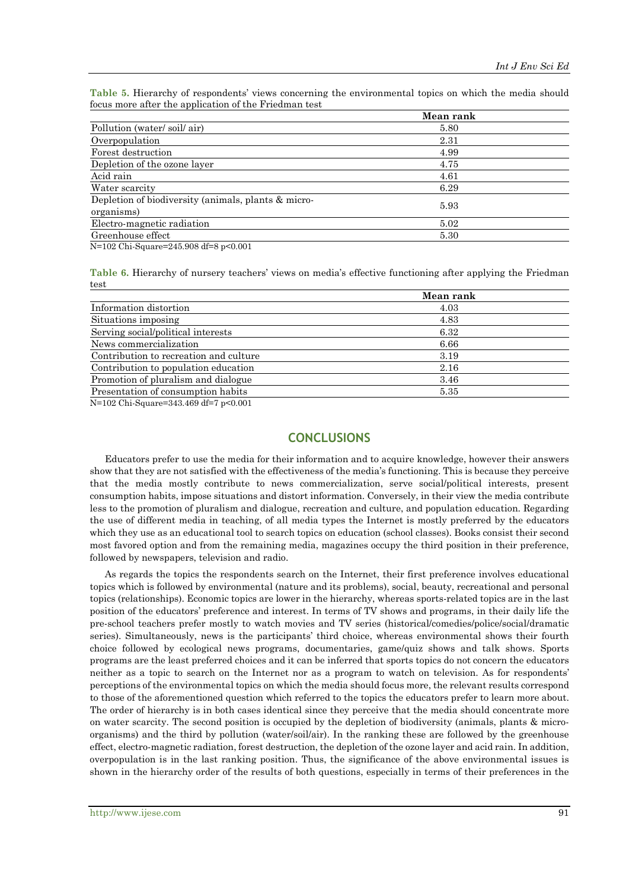**Table 5.** Hierarchy of respondents' views concerning the environmental topics on which the media should focus more after the application of the Friedman test

|                                                     | Mean rank |
|-----------------------------------------------------|-----------|
| Pollution (water/soil/air)                          | 5.80      |
| Overpopulation                                      | 2.31      |
| Forest destruction                                  | 4.99      |
| Depletion of the ozone layer                        | 4.75      |
| Acid rain                                           | 4.61      |
| Water scarcity                                      | 6.29      |
| Depletion of biodiversity (animals, plants & micro- | 5.93      |
| organisms)                                          |           |
| Electro-magnetic radiation                          | 5.02      |
| Greenhouse effect                                   | 5.30      |

N=102 Chi-Square=245.908 df=8 p<0.001

**Table 6.** Hierarchy of nursery teachers' views on media's effective functioning after applying the Friedman test

|                                                  | Mean rank |  |
|--------------------------------------------------|-----------|--|
| Information distortion                           | 4.03      |  |
| Situations imposing                              | 4.83      |  |
| Serving social/political interests               | 6.32      |  |
| News commercialization                           | 6.66      |  |
| Contribution to recreation and culture           | 3.19      |  |
| Contribution to population education             | 2.16      |  |
| Promotion of pluralism and dialogue              | 3.46      |  |
| Presentation of consumption habits               | 5.35      |  |
| $N=100$ $(1.0 - 0.40, 400)$ $10\pi$ $\sim 0.001$ |           |  |

N=102 Chi-Square=343.469 df=7 p<0.001

# **CONCLUSIONS**

Educators prefer to use the media for their information and to acquire knowledge, however their answers show that they are not satisfied with the effectiveness of the media's functioning. This is because they perceive that the media mostly contribute to news commercialization, serve social/political interests, present consumption habits, impose situations and distort information. Conversely, in their view the media contribute less to the promotion of pluralism and dialogue, recreation and culture, and population education. Regarding the use of different media in teaching, of all media types the Internet is mostly preferred by the educators which they use as an educational tool to search topics on education (school classes). Books consist their second most favored option and from the remaining media, magazines occupy the third position in their preference, followed by newspapers, television and radio.

As regards the topics the respondents search on the Internet, their first preference involves educational topics which is followed by environmental (nature and its problems), social, beauty, recreational and personal topics (relationships). Economic topics are lower in the hierarchy, whereas sports-related topics are in the last position of the educators' preference and interest. In terms of TV shows and programs, in their daily life the pre-school teachers prefer mostly to watch movies and TV series (historical/comedies/police/social/dramatic series). Simultaneously, news is the participants' third choice, whereas environmental shows their fourth choice followed by ecological news programs, documentaries, game/quiz shows and talk shows. Sports programs are the least preferred choices and it can be inferred that sports topics do not concern the educators neither as a topic to search on the Internet nor as a program to watch on television. As for respondents' perceptions of the environmental topics on which the media should focus more, the relevant results correspond to those of the aforementioned question which referred to the topics the educators prefer to learn more about. The order of hierarchy is in both cases identical since they perceive that the media should concentrate more on water scarcity. The second position is occupied by the depletion of biodiversity (animals, plants & microorganisms) and the third by pollution (water/soil/air). In the ranking these are followed by the greenhouse effect, electro-magnetic radiation, forest destruction, the depletion of the ozone layer and acid rain. In addition, overpopulation is in the last ranking position. Thus, the significance of the above environmental issues is shown in the hierarchy order of the results of both questions, especially in terms of their preferences in the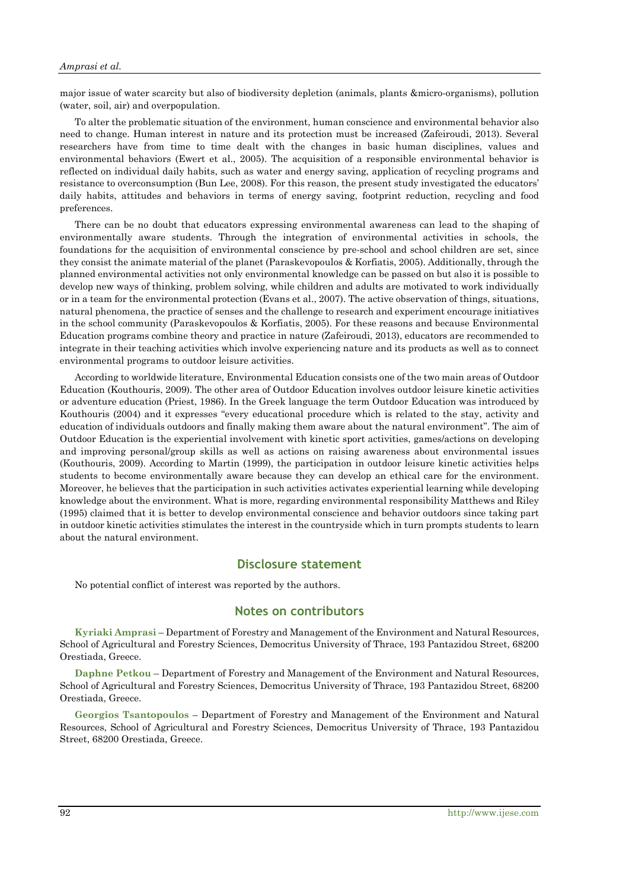major issue of water scarcity but also of biodiversity depletion (animals, plants &micro-organisms), pollution (water, soil, air) and overpopulation.

To alter the problematic situation of the environment, human conscience and environmental behavior also need to change. Human interest in nature and its protection must be increased (Zafeiroudi, 2013). Several researchers have from time to time dealt with the changes in basic human disciplines, values and environmental behaviors (Ewert et al., 2005). The acquisition of a responsible environmental behavior is reflected on individual daily habits, such as water and energy saving, application of recycling programs and resistance to overconsumption (Bun Lee, 2008). For this reason, the present study investigated the educators' daily habits, attitudes and behaviors in terms of energy saving, footprint reduction, recycling and food preferences.

There can be no doubt that educators expressing environmental awareness can lead to the shaping of environmentally aware students. Through the integration of environmental activities in schools, the foundations for the acquisition of environmental conscience by pre-school and school children are set, since they consist the animate material of the planet (Paraskevopoulos & Korfiatis, 2005). Additionally, through the planned environmental activities not only environmental knowledge can be passed on but also it is possible to develop new ways of thinking, problem solving, while children and adults are motivated to work individually or in a team for the environmental protection (Evans et al., 2007). The active observation of things, situations, natural phenomena, the practice of senses and the challenge to research and experiment encourage initiatives in the school community (Paraskevopoulos & Korfiatis, 2005). For these reasons and because Environmental Education programs combine theory and practice in nature (Zafeiroudi, 2013), educators are recommended to integrate in their teaching activities which involve experiencing nature and its products as well as to connect environmental programs to outdoor leisure activities.

According to worldwide literature, Environmental Education consists one of the two main areas of Outdoor Education (Kouthouris, 2009). The other area of Outdoor Education involves outdoor leisure kinetic activities or adventure education (Priest, 1986). In the Greek language the term Outdoor Education was introduced by Kouthouris (2004) and it expresses "every educational procedure which is related to the stay, activity and education of individuals outdoors and finally making them aware about the natural environment". The aim of Outdoor Education is the experiential involvement with kinetic sport activities, games/actions on developing and improving personal/group skills as well as actions on raising awareness about environmental issues (Kouthouris, 2009). According to Martin (1999), the participation in outdoor leisure kinetic activities helps students to become environmentally aware because they can develop an ethical care for the environment. Moreover, he believes that the participation in such activities activates experiential learning while developing knowledge about the environment. What is more, regarding environmental responsibility Matthews and Riley (1995) claimed that it is better to develop environmental conscience and behavior outdoors since taking part in outdoor kinetic activities stimulates the interest in the countryside which in turn prompts students to learn about the natural environment.

### **Disclosure statement**

No potential conflict of interest was reported by the authors.

#### **Notes on contributors**

**Kyriaki Amprasi** – Department of Forestry and Management of the Environment and Natural Resources, School of Agricultural and Forestry Sciences, Democritus University of Thrace, 193 Pantazidou Street, 68200 Orestiada, Greece.

**Daphne Petkou** – Department of Forestry and Management of the Environment and Natural Resources, School of Agricultural and Forestry Sciences, Democritus University of Thrace, 193 Pantazidou Street, 68200 Orestiada, Greece.

**Georgios Tsantopoulos** – Department of Forestry and Management of the Environment and Natural Resources, School of Agricultural and Forestry Sciences, Democritus University of Thrace, 193 Pantazidou Street, 68200 Orestiada, Greece.